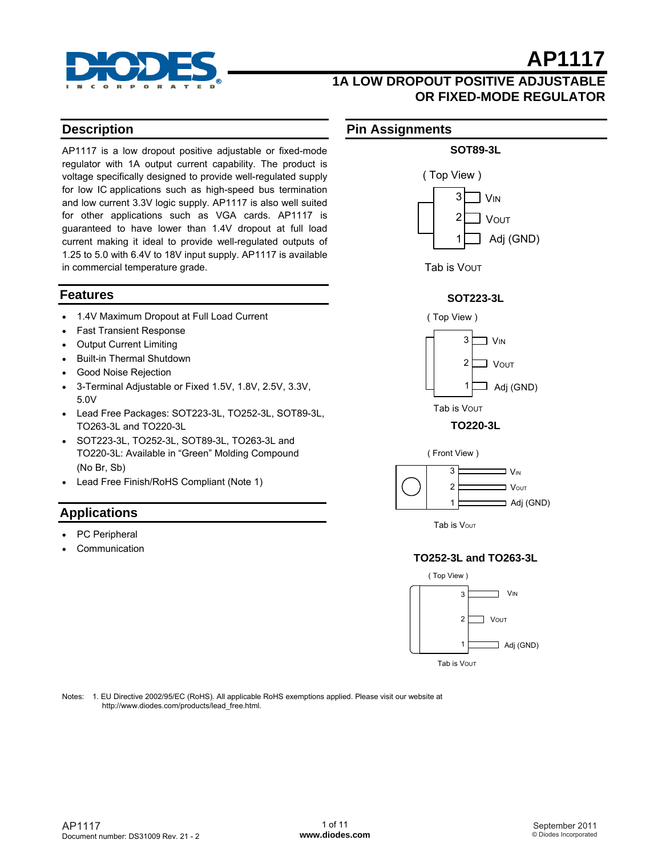

### **1A LOW DROPOUT POSITIVE ADJUSTABLE OR FIXED-MODE REGULATOR**

#### **Description**

AP1117 is a low dropout positive adjustable or fixed-mode regulator with 1A output current capability. The product is voltage specifically designed to provide well-regulated supply for low IC applications such as high-speed bus termination and low current 3.3V logic supply. AP1117 is also well suited for other applications such as VGA cards. AP1117 is guaranteed to have lower than 1.4V dropout at full load current making it ideal to provide well-regulated outputs of 1.25 to 5.0 with 6.4V to 18V input supply. AP1117 is available in commercial temperature grade.

#### **Features**

- 1.4V Maximum Dropout at Full Load Current
- Fast Transient Response
- Output Current Limiting
- Built-in Thermal Shutdown
- Good Noise Rejection
- 3-Terminal Adjustable or Fixed 1.5V, 1.8V, 2.5V, 3.3V, 5.0V
- Lead Free Packages: SOT223-3L, TO252-3L, SOT89-3L, TO263-3L and TO220-3L
- SOT223-3L, TO252-3L, SOT89-3L, TO263-3L and TO220-3L: Available in "Green" Molding Compound (No Br, Sb)
- Lead Free Finish/RoHS Compliant (Note 1)

#### **Applications**

- PC Peripheral
- **Communication**

#### **Pin Assignments**



#### **SOT223-3L**







Tab is Vout

#### **TO252-3L and TO263-3L**



Notes: 1. EU Directive 2002/95/EC (RoHS). All applicable RoHS exemptions applied. Please visit our website at http://www.diodes.com/products/lead\_free.html.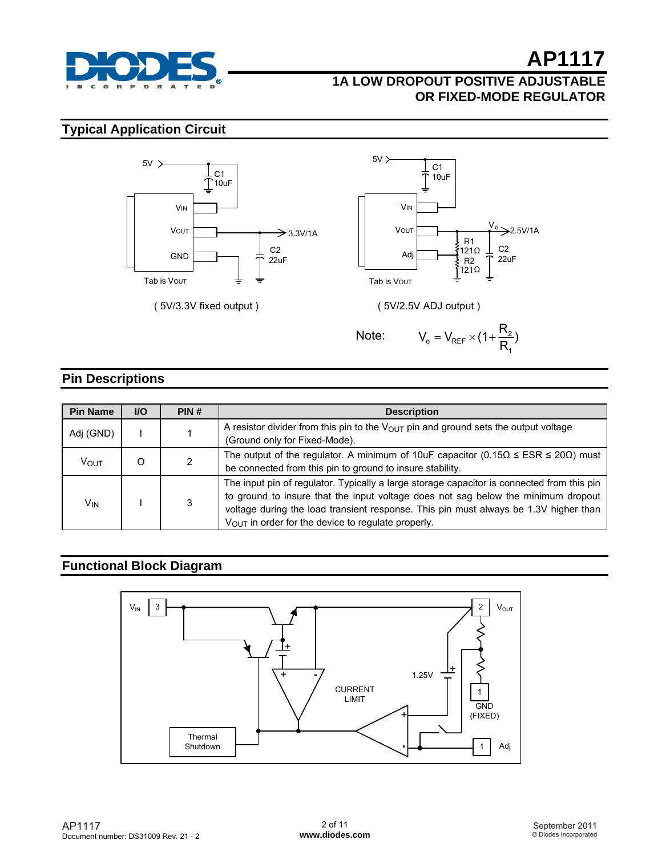

## **1A LOW DROPOUT POSITIVE ADJUSTABLE OR FIXED-MODE REGULATOR**

## **Typical Application Circuit**



#### **Pin Descriptions**

| <b>Pin Name</b> | <b>VO</b> | PIN# | <b>Description</b>                                                                                                                                                                                                                                                                                                                        |
|-----------------|-----------|------|-------------------------------------------------------------------------------------------------------------------------------------------------------------------------------------------------------------------------------------------------------------------------------------------------------------------------------------------|
| Adj (GND)       |           |      | A resistor divider from this pin to the $V_{\text{OUT}}$ pin and ground sets the output voltage<br>(Ground only for Fixed-Mode).                                                                                                                                                                                                          |
| Vout            | O         |      | The output of the regulator. A minimum of 10uF capacitor (0.15 $\Omega \leq ESR \leq 20\Omega$ ) must<br>be connected from this pin to ground to insure stability.                                                                                                                                                                        |
| V <sub>IN</sub> |           |      | The input pin of regulator. Typically a large storage capacitor is connected from this pin<br>to ground to insure that the input voltage does not sag below the minimum dropout<br>voltage during the load transient response. This pin must always be 1.3V higher than<br>$V_{\text{OUT}}$ in order for the device to regulate properly. |

### **Functional Block Diagram**

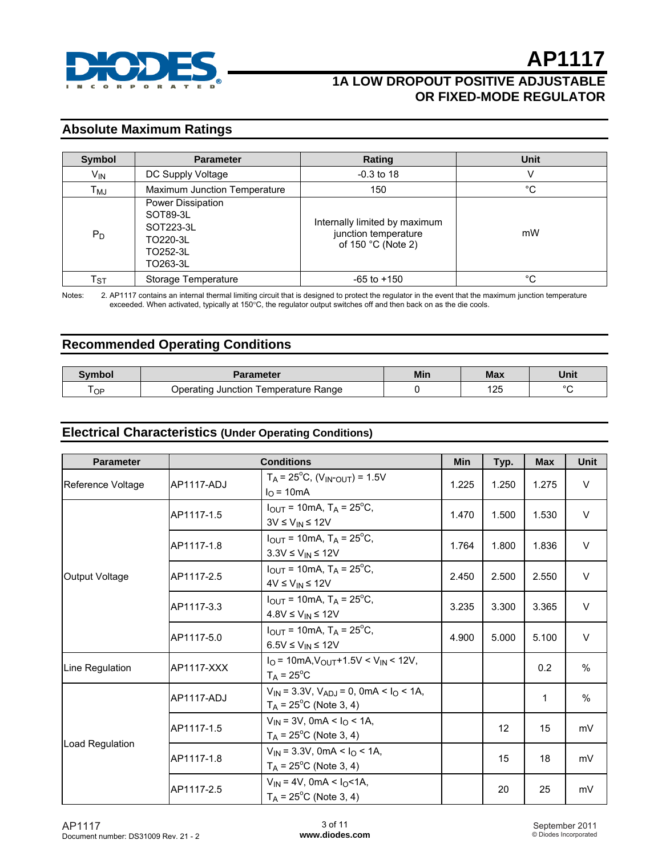

## **1A LOW DROPOUT POSITIVE ADJUSTABLE OR FIXED-MODE REGULATOR**

#### **Absolute Maximum Ratings**

| <b>Symbol</b> | <b>Parameter</b>                                                               | Rating                                                                                | Unit |
|---------------|--------------------------------------------------------------------------------|---------------------------------------------------------------------------------------|------|
| $V_{IN}$      | DC Supply Voltage                                                              | $-0.3$ to 18                                                                          | V    |
| Тмл           | Maximum Junction Temperature                                                   | 150                                                                                   | °C   |
| $P_D$         | Power Dissipation<br>SOT89-3L<br>SOT223-3L<br>TO220-3L<br>TO252-3L<br>TO263-3L | Internally limited by maximum<br>junction temperature<br>of 150 $^{\circ}$ C (Note 2) | mW   |
| $\sf T_{ST}$  | Storage Temperature                                                            | $-65$ to $+150$                                                                       | °C   |

Notes: 2. AP1117 contains an internal thermal limiting circuit that is designed to protect the regulator in the event that the maximum junction temperature exceeded. When activated, typically at 150°C, the regulator output switches off and then back on as the die cools.

#### **Recommended Operating Conditions**

| Svmbol | Parameter                                    | Min | Max          | Unit   |
|--------|----------------------------------------------|-----|--------------|--------|
| OP     | Temperature Range<br>Jperating<br>. Junction |     | 10E<br>ں ے ر | $\sim$ |

#### **Electrical Characteristics (Under Operating Conditions)**

| <b>Parameter</b>  | <b>Conditions</b>                                                                    |                                                                                              |       | Typ.  | <b>Max</b> | Unit          |
|-------------------|--------------------------------------------------------------------------------------|----------------------------------------------------------------------------------------------|-------|-------|------------|---------------|
| Reference Voltage | AP1117-ADJ                                                                           | $T_A$ = 25 <sup>°</sup> C, (V <sub>IN</sub> - <sub>OUT</sub> ) = 1.5V<br>$I_{\Omega}$ = 10mA | 1.225 | 1.250 | 1.275      | $\vee$        |
|                   | AP1117-1.5                                                                           | $I_{OUT}$ = 10mA, T <sub>A</sub> = 25 <sup>o</sup> C,<br>$3V \le V_{IN} \le 12V$             | 1.470 | 1.500 | 1.530      | $\vee$        |
|                   | AP1117-1.8                                                                           | $I_{\text{OUT}}$ = 10mA, T <sub>A</sub> = 25 <sup>o</sup> C,<br>$3.3V \leq V_{IN} \leq 12V$  |       | 1.800 | 1.836      | $\vee$        |
| Output Voltage    | AP1117-2.5                                                                           | $I_{OUT}$ = 10mA, T <sub>A</sub> = 25 <sup>o</sup> C,<br>$4V \leq V_{IN} \leq 12V$           |       | 2.500 | 2.550      | $\vee$        |
|                   | AP1117-3.3                                                                           | $I_{\text{OUT}}$ = 10mA, T <sub>A</sub> = 25 <sup>o</sup> C,<br>$4.8V \leq V_{IN} \leq 12V$  |       | 3.300 | 3.365      | $\vee$        |
|                   | AP1117-5.0                                                                           | $I_{\text{OUT}}$ = 10mA, T <sub>A</sub> = 25 <sup>o</sup> C,<br>$6.5V \leq V_{IN} \leq 12V$  | 4.900 | 5.000 | 5.100      | $\vee$        |
| Line Regulation   | AP1117-XXX                                                                           | $IO$ = 10mA, $VOUT$ +1.5V < $VIN$ < 12V,<br>$T_A = 25^{\circ}C$                              |       |       | 0.2        | %             |
|                   | <b>AP1117-ADJ</b>                                                                    | $V_{IN}$ = 3.3V, $V_{ADJ}$ = 0, 0mA < $I_{O}$ < 1A,<br>$T_A$ = 25 <sup>o</sup> C (Note 3, 4) |       |       | 1          | $\frac{0}{0}$ |
|                   | AP1117-1.5                                                                           | $V_{IN}$ = 3V, 0mA < $I_{O}$ < 1A,<br>$T_A$ = 25 <sup>o</sup> C (Note 3, 4)                  |       | 12    | 15         | mV            |
| Load Regulation   | AP1117-1.8                                                                           | $V_{IN}$ = 3.3V, 0mA < $I_{O}$ < 1A,<br>$T_A$ = 25 <sup>o</sup> C (Note 3, 4)                |       | 15    | 18         | mV            |
|                   | $V_{IN}$ = 4V, 0mA < $I_{O}$ < 1A,<br>AP1117-2.5<br>$T_A = 25^{\circ}$ C (Note 3, 4) |                                                                                              |       | 20    | 25         | mV            |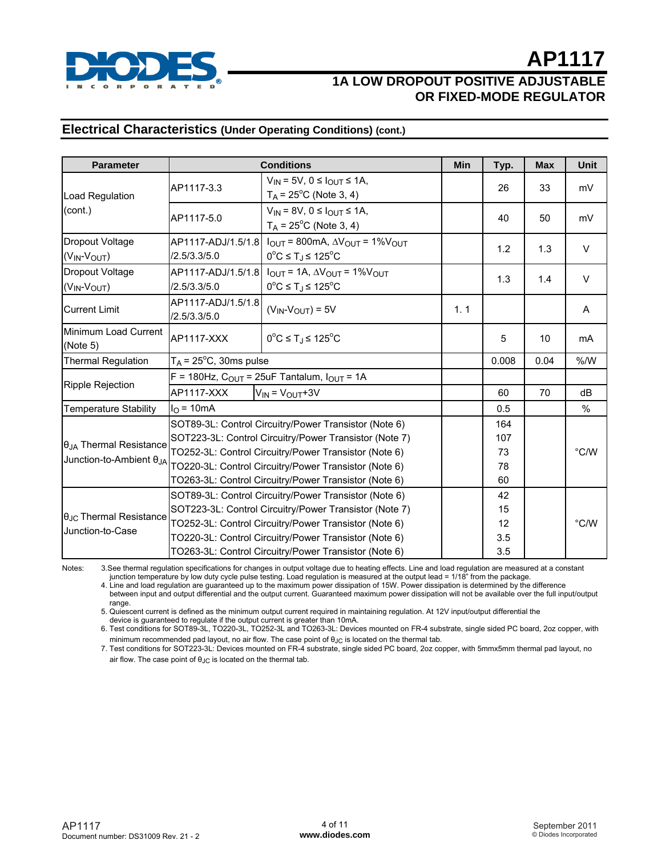

#### **Electrical Characteristics (Under Operating Conditions) (cont.)**

| <b>Parameter</b>                                            | <b>Conditions</b>                                                                                                                                                                                                                 |                                                                                                                                |     | Typ.                  | <b>Max</b> | Unit   |
|-------------------------------------------------------------|-----------------------------------------------------------------------------------------------------------------------------------------------------------------------------------------------------------------------------------|--------------------------------------------------------------------------------------------------------------------------------|-----|-----------------------|------------|--------|
| Load Regulation                                             | AP1117-3.3                                                                                                                                                                                                                        | $V_{IN} = 5V$ , $0 \leq I_{OUT} \leq 1A$ ,<br>$T_A$ = 25 <sup>o</sup> C (Note 3, 4)                                            |     | 26                    | 33         | mV     |
| (cont.)                                                     | $V_{IN}$ = 8V, 0 $\leq$ $I_{OUT}$ $\leq$ 1A,<br>AP1117-5.0<br>$T_A$ = 25 <sup>o</sup> C (Note 3, 4)                                                                                                                               |                                                                                                                                |     | 40                    | 50         | mV     |
| Dropout Voltage<br>$(V_{IN}$ - $V_{OUT}$                    | AP1117-ADJ/1.5/1.8<br>/2.5/3.3/5.0                                                                                                                                                                                                | $I_{\text{OUT}}$ = 800mA, $\Delta V_{\text{OUT}}$ = 1% $V_{\text{OUT}}$<br>$0^{\circ}$ C ≤ T <sub>J</sub> ≤ 125 <sup>°</sup> C |     | 1.2                   | 1.3        | $\vee$ |
| Dropout Voltage<br>$(V_{IN}$ - $V_{OUT}$                    | AP1117-ADJ/1.5/1.8 $I_{OUT} = 1A$ , $\Delta V_{OUT} = 1\%V_{OUT}$<br>$0^{\circ}$ C ≤ T <sub>J</sub> ≤ 125 $^{\circ}$ C<br>/2.5/3.3/5.0                                                                                            |                                                                                                                                |     | 1.3                   | 1.4        | $\vee$ |
| <b>Current Limit</b>                                        | AP1117-ADJ/1.5/1.8<br>/2.5/3.3/5.0                                                                                                                                                                                                | $(V_{IN}$ - $V_{OUT})$ = 5V                                                                                                    | 1.1 |                       |            | A      |
| Minimum Load Current<br>(Note 5)                            | AP1117-XXX                                                                                                                                                                                                                        | $0^{\circ}$ C ≤ T <sub>J</sub> ≤ 125 $^{\circ}$ C                                                                              |     | 5                     | 10         | mA     |
| $T_A$ = 25°C, 30ms pulse<br><b>Thermal Regulation</b>       |                                                                                                                                                                                                                                   |                                                                                                                                |     | 0.008                 | 0.04       | % /W   |
| <b>Ripple Rejection</b>                                     | F = 180Hz, $C_{OUT}$ = 25uF Tantalum, $I_{OUT}$ = 1A                                                                                                                                                                              |                                                                                                                                |     |                       |            |        |
|                                                             | $V_{IN} = V_{OUT} + 3V$<br>AP1117-XXX                                                                                                                                                                                             |                                                                                                                                | 60  | 70                    | dB         |        |
| <b>Temperature Stability</b>                                | $IO$ = 10mA                                                                                                                                                                                                                       |                                                                                                                                |     | 0.5                   |            | %      |
| $\theta_{JA}$ Thermal Resistance                            | SOT89-3L: Control Circuitry/Power Transistor (Note 6)<br>SOT223-3L: Control Circuitry/Power Transistor (Note 7)<br>TO252-3L: Control Circuitry/Power Transistor (Note 6)                                                          |                                                                                                                                |     | 164<br>107<br>73      |            | °C/W   |
| Junction-to-Ambient $\theta_{JA}$                           | TO220-3L: Control Circuitry/Power Transistor (Note 6)<br>TO263-3L: Control Circuitry/Power Transistor (Note 6)                                                                                                                    |                                                                                                                                |     | 78<br>60              |            |        |
| $\theta_{\text{JC}}$ Thermal Resistance<br>Junction-to-Case | SOT89-3L: Control Circuitry/Power Transistor (Note 6)<br>SOT223-3L: Control Circuitry/Power Transistor (Note 7)<br>TO252-3L: Control Circuitry/Power Transistor (Note 6)<br>TO220-3L: Control Circuitry/Power Transistor (Note 6) |                                                                                                                                |     | 42<br>15<br>12<br>3.5 |            | °C/W   |
|                                                             | TO263-3L: Control Circuitry/Power Transistor (Note 6)                                                                                                                                                                             |                                                                                                                                | 3.5 |                       |            |        |

Notes: 3.See thermal regulation specifications for changes in output voltage due to heating effects. Line and load regulation are measured at a constant

junction temperature by low duty cycle pulse testing. Load regulation is measured at the output lead = 1/18" from the package.

 4. Line and load regulation are guaranteed up to the maximum power dissipation of 15W. Power dissipation is determined by the difference between input and output differential and the output current. Guaranteed maximum power dissipation will not be available over the full input/output range.

5. Quiescent current is defined as the minimum output current required in maintaining regulation. At 12V input/output differential the

device is guaranteed to regulate if the output current is greater than 10mA.

 6. Test conditions for SOT89-3L, TO220-3L, TO252-3L and TO263-3L: Devices mounted on FR-4 substrate, single sided PC board, 2oz copper, with minimum recommended pad layout, no air flow. The case point of  $\theta_{\text{JC}}$  is located on the thermal tab.

 7. Test conditions for SOT223-3L: Devices mounted on FR-4 substrate, single sided PC board, 2oz copper, with 5mmx5mm thermal pad layout, no air flow. The case point of  $\theta$ <sub>JC</sub> is located on the thermal tab.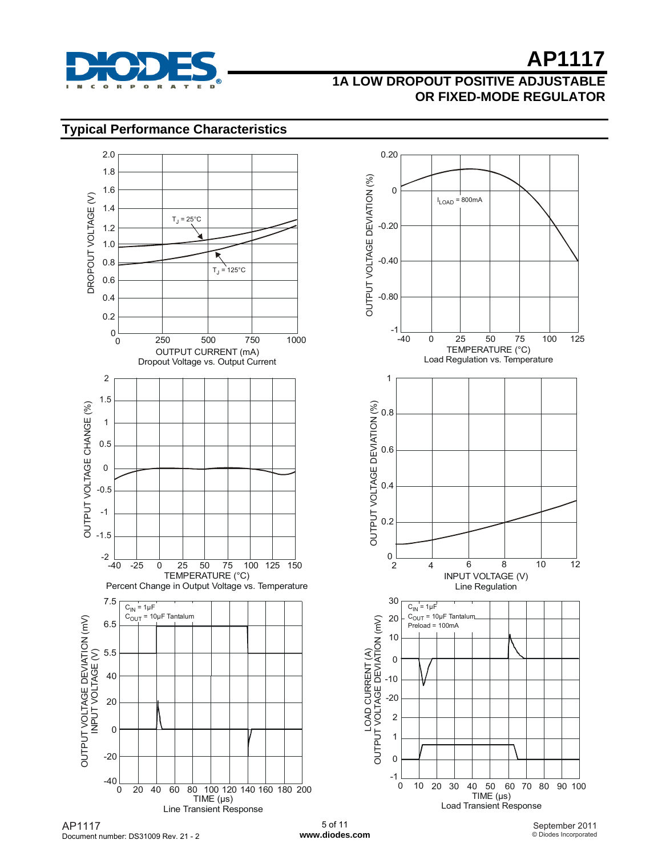

## **1A LOW DROPOUT POSITIVE ADJUSTABLE OR FIXED-MODE REGULATOR**

### **Typical Performance Characteristics**



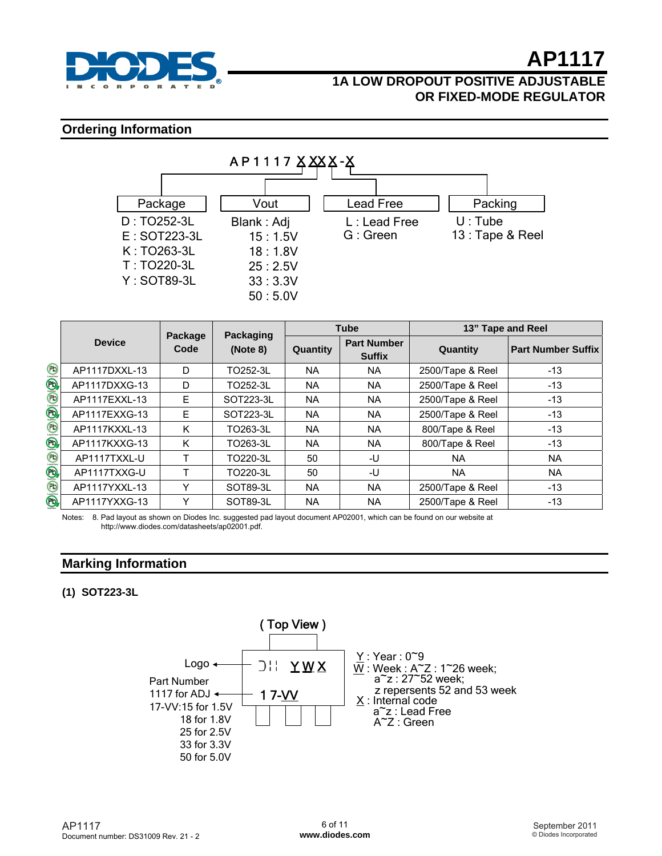

### **1A LOW DROPOUT POSITIVE ADJUSTABLE OR FIXED-MODE REGULATOR**

#### **Ordering Information**



|                                                                                                                                                                                                                                                                                                                                                                                                                                                             |               |                 | Packaging | <b>Tube</b> |                                     | 13" Tape and Reel |                           |  |
|-------------------------------------------------------------------------------------------------------------------------------------------------------------------------------------------------------------------------------------------------------------------------------------------------------------------------------------------------------------------------------------------------------------------------------------------------------------|---------------|-----------------|-----------|-------------|-------------------------------------|-------------------|---------------------------|--|
|                                                                                                                                                                                                                                                                                                                                                                                                                                                             | <b>Device</b> | Package<br>Code | (Note 8)  | Quantity    | <b>Part Number</b><br><b>Suffix</b> | Quantity          | <b>Part Number Suffix</b> |  |
| $\mathcal{L}(\mathcal{L}(\mathcal{L}(\mathcal{L}(\mathcal{L}(\mathcal{L}(\mathcal{L}(\mathcal{L}(\mathcal{L}(\mathcal{L}(\mathcal{L}(\mathcal{L}(\mathcal{L}(\mathcal{L}(\mathcal{L}(\mathcal{L}(\mathcal{L}(\mathcal{L}(\mathcal{L}(\mathcal{L}(\mathcal{L}(\mathcal{L}(\mathcal{L}(\mathcal{L}(\mathcal{L}(\mathcal{L}(\mathcal{L}(\mathcal{L}(\mathcal{L}(\mathcal{L}(\mathcal{L}(\mathcal{L}(\mathcal{L}(\mathcal{L}(\mathcal{L}(\mathcal{L}(\mathcal{$ | AP1117DXXL-13 | D               | TO252-3L  | <b>NA</b>   | NA.                                 | 2500/Tape & Reel  | $-13$                     |  |
|                                                                                                                                                                                                                                                                                                                                                                                                                                                             | AP1117DXXG-13 | D               | TO252-3L  | <b>NA</b>   | NA.                                 | 2500/Tape & Reel  | $-13$                     |  |
|                                                                                                                                                                                                                                                                                                                                                                                                                                                             | AP1117EXXL-13 | E               | SOT223-3L | <b>NA</b>   | NA.                                 | 2500/Tape & Reel  | $-13$                     |  |
|                                                                                                                                                                                                                                                                                                                                                                                                                                                             | AP1117EXXG-13 | E               | SOT223-3L | <b>NA</b>   | NA.                                 | 2500/Tape & Reel  | $-13$                     |  |
|                                                                                                                                                                                                                                                                                                                                                                                                                                                             | AP1117KXXL-13 | K               | TO263-3L  | <b>NA</b>   | <b>NA</b>                           | 800/Tape & Reel   | $-13$                     |  |
| ®,                                                                                                                                                                                                                                                                                                                                                                                                                                                          | AP1117KXXG-13 | K               | TO263-3L  | <b>NA</b>   | <b>NA</b>                           | 800/Tape & Reel   | $-13$                     |  |
|                                                                                                                                                                                                                                                                                                                                                                                                                                                             | AP1117TXXL-U  | т               | TO220-3L  | 50          | -U                                  | <b>NA</b>         | <b>NA</b>                 |  |
|                                                                                                                                                                                                                                                                                                                                                                                                                                                             | AP1117TXXG-U  | т               | TO220-3L  | 50          | -U                                  | NA.               | <b>NA</b>                 |  |
| $\textbf{F}(\mathcal{B} \mathcal{B})\textbf{E}$                                                                                                                                                                                                                                                                                                                                                                                                             | AP1117YXXL-13 | Υ               | SOT89-3L  | <b>NA</b>   | <b>NA</b>                           | 2500/Tape & Reel  | $-13$                     |  |
|                                                                                                                                                                                                                                                                                                                                                                                                                                                             | AP1117YXXG-13 | Υ               | SOT89-3L  | <b>NA</b>   | <b>NA</b>                           | 2500/Tape & Reel  | $-13$                     |  |

Notes: 8. Pad layout as shown on Diodes Inc. suggested pad layout document AP02001, which can be found on our website at http://www.diodes.com/datasheets/ap02001.pdf.

#### **Marking Information**

#### **(1) SOT223-3L**

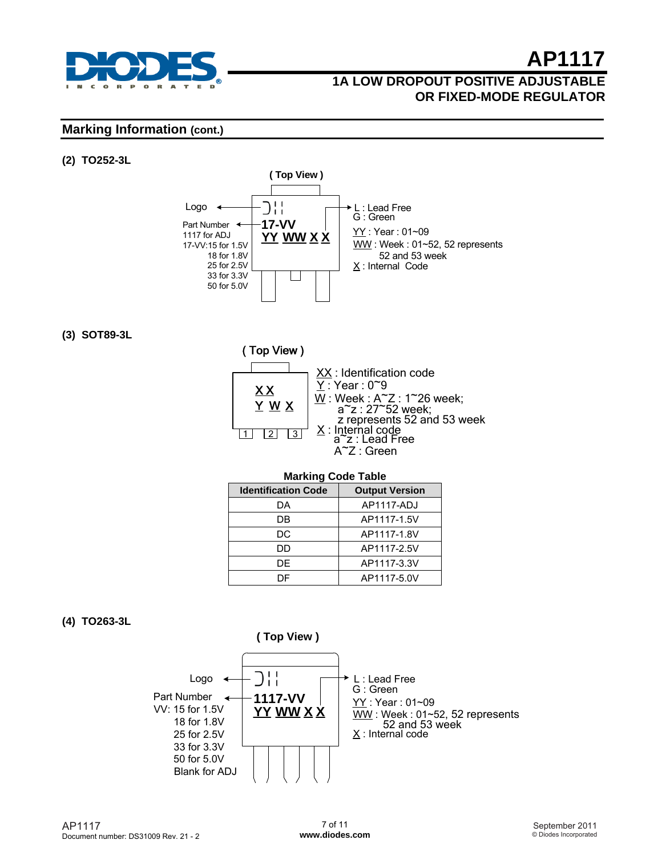

### **1A LOW DROPOUT POSITIVE ADJUSTABLE OR FIXED-MODE REGULATOR**

#### **Marking Information (cont.)**

#### **(2) TO252-3L**



#### **(3) SOT89-3L**



#### **Marking Code Table**

| <b>Identification Code</b> | <b>Output Version</b> |  |  |  |
|----------------------------|-----------------------|--|--|--|
| DА                         | AP1117-ADJ            |  |  |  |
| DB                         | AP1117-1.5V           |  |  |  |
| DC                         | AP1117-1.8V           |  |  |  |
| DD                         | AP1117-2.5V           |  |  |  |
| DF                         | AP1117-3.3V           |  |  |  |
| DΕ                         | AP1117-5.0V           |  |  |  |

#### **(4) TO263-3L**

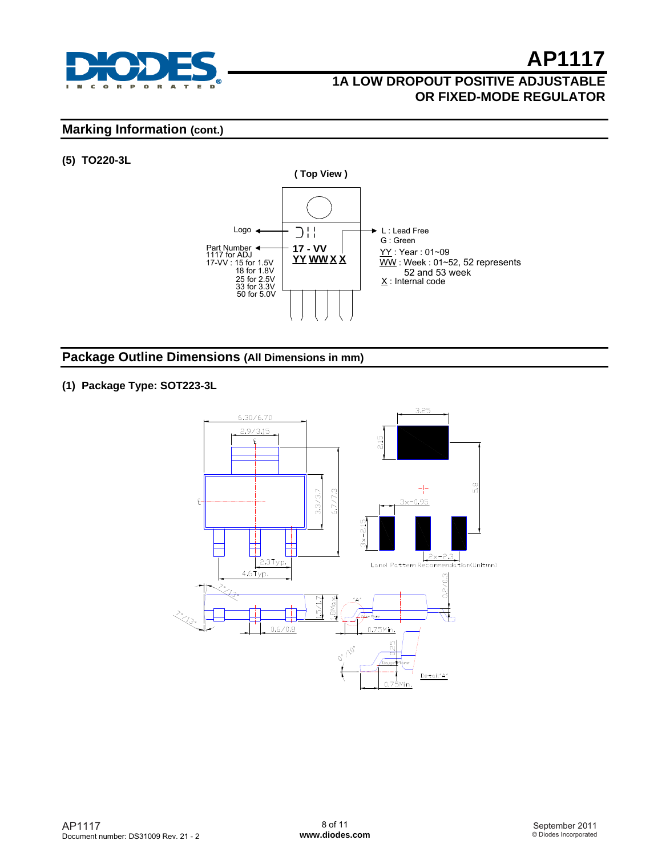

## **1A LOW DROPOUT POSITIVE ADJUSTABLE OR FIXED-MODE REGULATOR**

#### **Marking Information (cont.)**

#### **(5) TO220-3L**



#### **Package Outline Dimensions (All Dimensions in mm)**

#### **(1) Package Type: SOT223-3L**

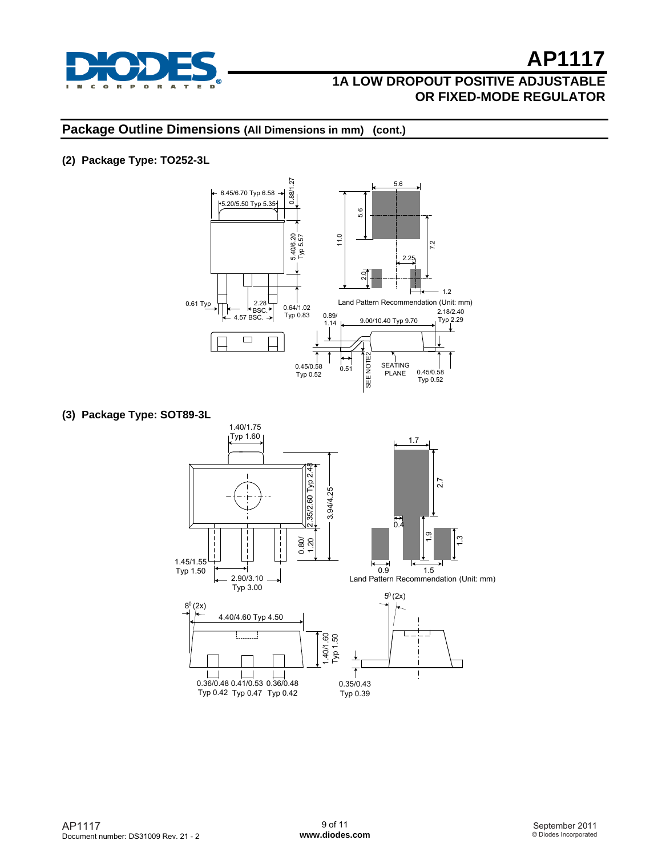

#### **Package Outline Dimensions (All Dimensions in mm) (cont.)**

#### **(2) Package Type: TO252-3L**



**(3) Package Type: SOT89-3L** 

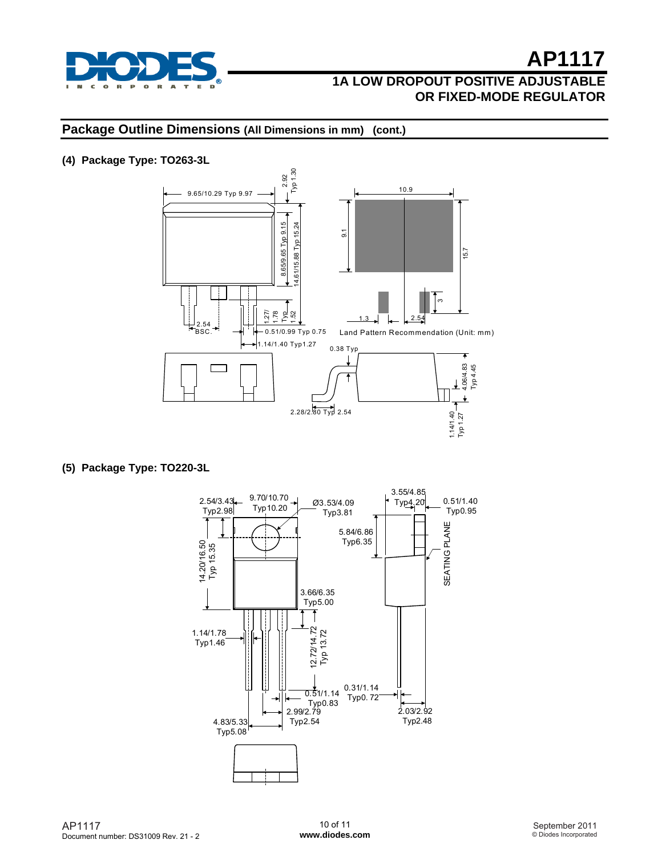

#### **Package Outline Dimensions (All Dimensions in mm) (cont.)**

#### **(4) Package Type: TO263-3L**



**(5) Package Type: TO220-3L**